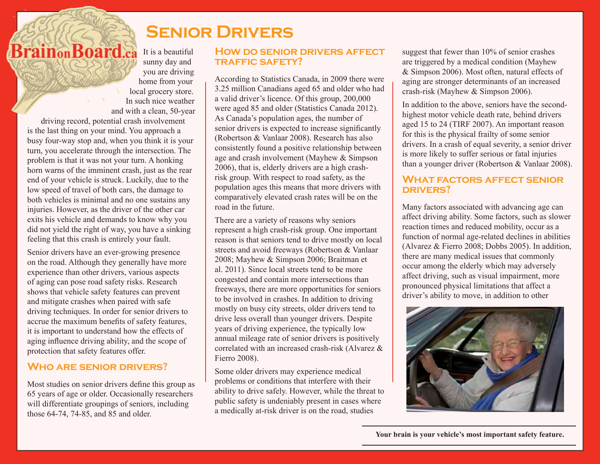# **Senior Drivers**

**BrainonBoard.ca** It is a beautiful sunny day and you are driving home from your local grocery store. In such nice weather and with a clean, 50-year

driving record, potential crash involvement is the last thing on your mind. You approach a busy four-way stop and, when you think it is your turn, you accelerate through the intersection. The problem is that it was not your turn. A honking horn warns of the imminent crash, just as the rear end of your vehicle is struck. Luckily, due to the low speed of travel of both cars, the damage to both vehicles is minimal and no one sustains any injuries. However, as the driver of the other car exits his vehicle and demands to know why you did not yield the right of way, you have a sinking feeling that this crash is entirely your fault.

Senior drivers have an ever-growing presence on the road. Although they generally have more experience than other drivers, various aspects of aging can pose road safety risks. Research shows that vehicle safety features can prevent and mitigate crashes when paired with safe driving techniques. In order for senior drivers to accrue the maximum benefits of safety features, it is important to understand how the effects of aging influence driving ability, and the scope of protection that safety features offer.

## **Who are senior drivers?**

Most studies on senior drivers define this group as 65 years of age or older. Occasionally researchers will differentiate groupings of seniors, including those 64-74, 74-85, and 85 and older.

#### **How do senior drivers affect traffic safety?**

According to Statistics Canada, in 2009 there were 3.25 million Canadians aged 65 and older who had a valid driver's licence. Of this group, 200,000 were aged 85 and older (Statistics Canada 2012). As Canada's population ages, the number of senior drivers is expected to increase significantly (Robertson & Vanlaar 2008). Research has also consistently found a positive relationship between age and crash involvement (Mayhew & Simpson 2006), that is, elderly drivers are a high crashrisk group. With respect to road safety, as the population ages this means that more drivers with comparatively elevated crash rates will be on the road in the future.

There are a variety of reasons why seniors represent a high crash-risk group. One important reason is that seniors tend to drive mostly on local streets and avoid freeways (Robertson & Vanlaar 2008; Mayhew & Simpson 2006; Braitman et al. 2011). Since local streets tend to be more congested and contain more intersections than freeways, there are more opportunities for seniors to be involved in crashes. In addition to driving mostly on busy city streets, older drivers tend to drive less overall than younger drivers. Despite years of driving experience, the typically low annual mileage rate of senior drivers is positively correlated with an increased crash-risk (Alvarez & Fierro 2008).

Some older drivers may experience medical problems or conditions that interfere with their ability to drive safely. However, while the threat to public safety is undeniably present in cases where a medically at-risk driver is on the road, studies

suggest that fewer than 10% of senior crashes are triggered by a medical condition (Mayhew & Simpson 2006). Most often, natural effects of aging are stronger determinants of an increased crash-risk (Mayhew & Simpson 2006).

In addition to the above, seniors have the secondhighest motor vehicle death rate, behind drivers aged 15 to 24 (TIRF 2007). An important reason for this is the physical frailty of some senior drivers. In a crash of equal severity, a senior driver is more likely to suffer serious or fatal injuries than a younger driver (Robertson & Vanlaar 2008).

### **What factors affect senior drivers?**

Many factors associated with advancing age can affect driving ability. Some factors, such as slower reaction times and reduced mobility, occur as a function of normal age-related declines in abilities (Alvarez & Fierro 2008; Dobbs 2005). In addition, there are many medical issues that commonly occur among the elderly which may adversely affect driving, such as visual impairment, more pronounced physical limitations that affect a driver's ability to move, in addition to other

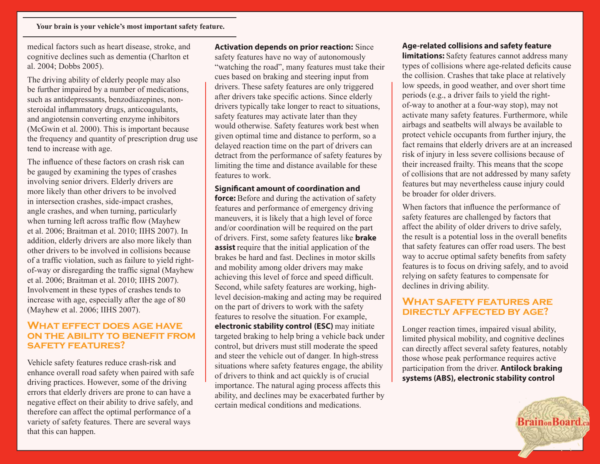medical factors such as heart disease, stroke, and cognitive declines such as dementia (Charlton et al. 2004; Dobbs 2005).

The driving ability of elderly people may also be further impaired by a number of medications, such as antidepressants, benzodiazepines, nonsteroidal inflammatory drugs, anticoagulants, and angiotensin converting enzyme inhibitors (McGwin et al. 2000). This is important because the frequency and quantity of prescription drug use tend to increase with age.

The influence of these factors on crash risk can be gauged by examining the types of crashes involving senior drivers. Elderly drivers are more likely than other drivers to be involved in intersection crashes, side-impact crashes, angle crashes, and when turning, particularly when turning left across traffic flow (Mayhew et al. 2006; Braitman et al. 2010; IIHS 2007). In addition, elderly drivers are also more likely than other drivers to be involved in collisions because of a traffic violation, such as failure to yield rightof-way or disregarding the traffic signal (Mayhew et al. 2006; Braitman et al. 2010; IIHS 2007). Involvement in these types of crashes tends to increase with age, especially after the age of 80 (Mayhew et al. 2006; IIHS 2007).

#### **What effect does age have on the ability to benefit from safety features?**

Vehicle safety features reduce crash-risk and enhance overall road safety when paired with safe driving practices. However, some of the driving errors that elderly drivers are prone to can have a negative effect on their ability to drive safely, and therefore can affect the optimal performance of a variety of safety features. There are several ways that this can happen.

**Activation depends on prior reaction:** Since safety features have no way of autonomously "watching the road", many features must take their cues based on braking and steering input from drivers. These safety features are only triggered after drivers take specific actions. Since elderly drivers typically take longer to react to situations, safety features may activate later than they would otherwise. Safety features work best when given optimal time and distance to perform, so a delayed reaction time on the part of drivers can detract from the performance of safety features by limiting the time and distance available for these features to work.

#### **Significant amount of coordination and**

**force:** Before and during the activation of safety features and performance of emergency driving maneuvers, it is likely that a high level of force and/or coordination will be required on the part of drivers. First, some safety features like **brake assist** require that the initial application of the brakes be hard and fast. Declines in motor skills and mobility among older drivers may make achieving this level of force and speed difficult. Second, while safety features are working, highlevel decision-making and acting may be required on the part of drivers to work with the safety features to resolve the situation. For example, **electronic stability control (ESC)** may initiate targeted braking to help bring a vehicle back under control, but drivers must still moderate the speed and steer the vehicle out of danger. In high-stress situations where safety features engage, the ability of drivers to think and act quickly is of crucial importance. The natural aging process affects this ability, and declines may be exacerbated further by certain medical conditions and medications.

#### **Age-related collisions and safety feature**

**limitations:** Safety features cannot address many types of collisions where age-related deficits cause the collision. Crashes that take place at relatively low speeds, in good weather, and over short time periods (e.g., a driver fails to yield the rightof-way to another at a four-way stop), may not activate many safety features. Furthermore, while airbags and seatbelts will always be available to protect vehicle occupants from further injury, the fact remains that elderly drivers are at an increased risk of injury in less severe collisions because of their increased frailty. This means that the scope of collisions that are not addressed by many safety features but may nevertheless cause injury could be broader for older drivers.

When factors that influence the performance of safety features are challenged by factors that affect the ability of older drivers to drive safely, the result is a potential loss in the overall benefits that safety features can offer road users. The best way to accrue optimal safety benefits from safety features is to focus on driving safely, and to avoid relying on safety features to compensate for declines in driving ability.

#### **What safety features are directly affected by age?**

Longer reaction times, impaired visual ability, limited physical mobility, and cognitive declines can directly affect several safety features, notably those whose peak performance requires active participation from the driver. **Antilock braking systems (ABS), electronic stability control** 

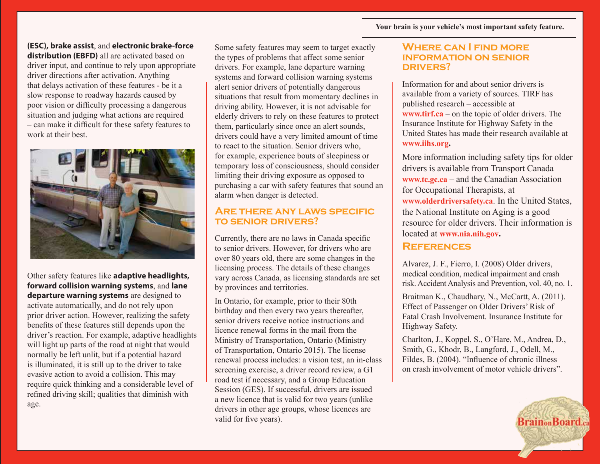#### **(ESC), brake assist**, and **electronic brake-force**

**distribution (EBFD)** all are activated based on driver input, and continue to rely upon appropriate driver directions after activation. Anything that delays activation of these features - be it a slow response to roadway hazards caused by poor vision or difficulty processing a dangerous situation and judging what actions are required – can make it difficult for these safety features to work at their best.



Other safety features like **adaptive headlights, forward collision warning systems**, and **lane departure warning systems** are designed to activate automatically, and do not rely upon prior driver action. However, realizing the safety benefits of these features still depends upon the driver's reaction. For example, adaptive headlights will light up parts of the road at night that would normally be left unlit, but if a potential hazard is illuminated, it is still up to the driver to take evasive action to avoid a collision. This may require quick thinking and a considerable level of refined driving skill; qualities that diminish with age.

Some safety features may seem to target exactly the types of problems that affect some senior drivers. For example, lane departure warning systems and forward collision warning systems alert senior drivers of potentially dangerous situations that result from momentary declines in driving ability. However, it is not advisable for elderly drivers to rely on these features to protect them, particularly since once an alert sounds, drivers could have a very limited amount of time to react to the situation. Senior drivers who, for example, experience bouts of sleepiness or temporary loss of consciousness, should consider limiting their driving exposure as opposed to purchasing a car with safety features that sound an alarm when danger is detected.

#### **Are there any laws specific to senior drivers?**

Currently, there are no laws in Canada specific to senior drivers. However, for drivers who are over 80 years old, there are some changes in the licensing process. The details of these changes vary across Canada, as licensing standards are set by provinces and territories.

In Ontario, for example, prior to their 80th birthday and then every two years thereafter, senior drivers receive notice instructions and licence renewal forms in the mail from the Ministry of Transportation, Ontario (Ministry of Transportation, Ontario 2015). The license renewal process includes: a vision test, an in-class screening exercise, a driver record review, a G1 road test if necessary, and a Group Education Session (GES). If successful, drivers are issued a new licence that is valid for two years (unlike drivers in other age groups, whose licences are valid for five years).

#### **Where can I find more information on senior drivers?**

Information for and about senior drivers is available from a variety of sources. TIRF has published research – accessible at **www.tirf.ca** – on the topic of older drivers. The Insurance Institute for Highway Safety in the United States has made their research available at **www.iihs.org.**

More information including safety tips for older drivers is available from Transport Canada – **www.tc.gc.ca** – and the Canadian Association for Occupational Therapists, at **www.olderdriversafety.ca**. In the United States, the National Institute on Aging is a good resource for older drivers. Their information is located at **www.nia.nih.gov.**

#### **References**

Alvarez, J. F., Fierro, I. (2008) Older drivers, medical condition, medical impairment and crash risk. Accident Analysis and Prevention, vol. 40, no. 1.

Braitman K., Chaudhary, N., McCartt, A. (2011). Effect of Passenger on Older Drivers' Risk of Fatal Crash Involvement. Insurance Institute for Highway Safety.

Charlton, J., Koppel, S., O'Hare, M., Andrea, D., Smith, G., Khodr, B., Langford, J., Odell, M., Fildes, B. (2004). "Influence of chronic illness on crash involvement of motor vehicle drivers".